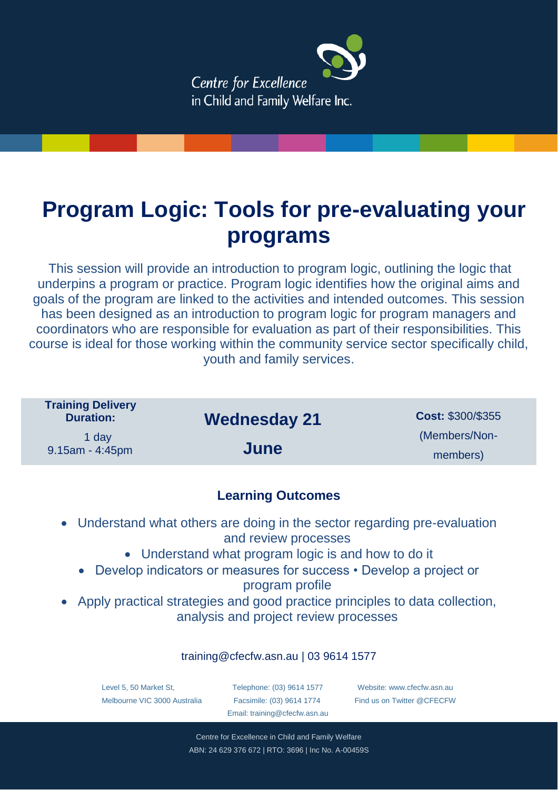

# **Program Logic: Tools for pre-evaluating your programs**

This session will provide an introduction to program logic, outlining the logic that underpins a program or practice. Program logic identifies how the original aims and goals of the program are linked to the activities and intended outcomes. This session has been designed as an introduction to program logic for program managers and coordinators who are responsible for evaluation as part of their responsibilities. This course is ideal for those working within the community service sector specifically child, youth and family services.

| <b>Wednesday 21</b> | <b>Cost: \$300/\$355</b> |
|---------------------|--------------------------|
|                     | (Members/Non-            |
|                     | members)                 |
|                     | June                     |

## **Learning Outcomes**

- Understand what others are doing in the sector regarding pre-evaluation and review processes
	- Understand what program logic is and how to do it
	- Develop indicators or measures for success Develop a project or program profile
- Apply practical strategies and good practice principles to data collection, analysis and project review processes

### training@cfecfw.asn.au | 03 9614 1577

Level 5, 50 Market St, Melbourne VIC 3000 Australia

Telephone: (03) 9614 1577 Facsimile: (03) 9614 1774 Email: [training@cfecfw.asn.au](mailto:training@cfecfw.asn.au)

Website: [www.cfecfw.asn.au](http://www.cfecfw.asn.au/) Find us on Twitter @CFECFW

Centre for Excellence in Child and Family Welfare ABN: 24 629 376 672 | RTO: 3696 | Inc No. A-00459S